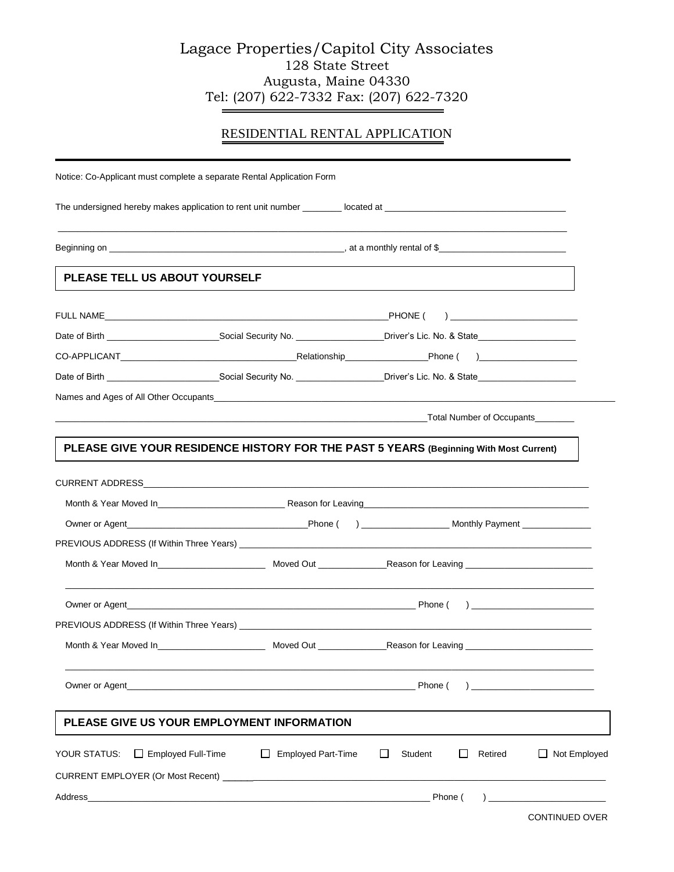## Lagace Properties/Capitol City Associates 128 State Street Augusta, Maine 04330 Tel: (207) 622-7332 Fax: (207) 622-7320

## RESIDENTIAL RENTAL APPLICATION

| Notice: Co-Applicant must complete a separate Rental Application Form                                                                   |  |  |  |  |  |  |  |
|-----------------------------------------------------------------------------------------------------------------------------------------|--|--|--|--|--|--|--|
|                                                                                                                                         |  |  |  |  |  |  |  |
|                                                                                                                                         |  |  |  |  |  |  |  |
| PLEASE TELL US ABOUT YOURSELF                                                                                                           |  |  |  |  |  |  |  |
|                                                                                                                                         |  |  |  |  |  |  |  |
| Date of Birth __________________________________Social Security No. _____________________Driver's Lic. No. & State_____________________ |  |  |  |  |  |  |  |
|                                                                                                                                         |  |  |  |  |  |  |  |
|                                                                                                                                         |  |  |  |  |  |  |  |
|                                                                                                                                         |  |  |  |  |  |  |  |
| <b>Example 2018 19:30 Total Number of Occupants</b>                                                                                     |  |  |  |  |  |  |  |
| PLEASE GIVE YOUR RESIDENCE HISTORY FOR THE PAST 5 YEARS (Beginning With Most Current)                                                   |  |  |  |  |  |  |  |
|                                                                                                                                         |  |  |  |  |  |  |  |
|                                                                                                                                         |  |  |  |  |  |  |  |
|                                                                                                                                         |  |  |  |  |  |  |  |
|                                                                                                                                         |  |  |  |  |  |  |  |
|                                                                                                                                         |  |  |  |  |  |  |  |
|                                                                                                                                         |  |  |  |  |  |  |  |
|                                                                                                                                         |  |  |  |  |  |  |  |
|                                                                                                                                         |  |  |  |  |  |  |  |
| <b>Example 20</b> Phone ( $\sim$ 2011) 2012 12:30 Phone ( $\sim$ 2012) 2013 12:30 Phone (                                               |  |  |  |  |  |  |  |
| PLEASE GIVE US YOUR EMPLOYMENT INFORMATION                                                                                              |  |  |  |  |  |  |  |
| $\Box$ Not Employed<br><b>Employed Part-Time</b><br>$\Box$<br>Student<br>$\Box$<br>Retired<br>$\Box$                                    |  |  |  |  |  |  |  |
|                                                                                                                                         |  |  |  |  |  |  |  |
|                                                                                                                                         |  |  |  |  |  |  |  |
| $\Box$ Employed Full-Time                                                                                                               |  |  |  |  |  |  |  |